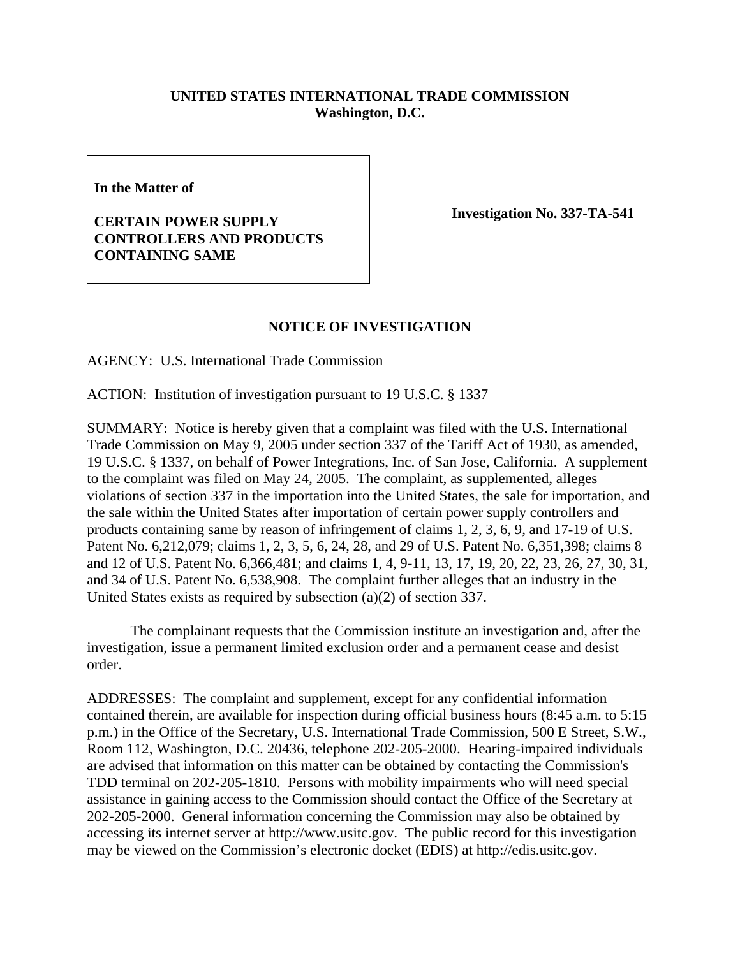## **UNITED STATES INTERNATIONAL TRADE COMMISSION Washington, D.C.**

**In the Matter of**

## **CERTAIN POWER SUPPLY CONTROLLERS AND PRODUCTS CONTAINING SAME**

**Investigation No. 337-TA-541** 

## **NOTICE OF INVESTIGATION**

AGENCY: U.S. International Trade Commission

ACTION: Institution of investigation pursuant to 19 U.S.C. § 1337

SUMMARY: Notice is hereby given that a complaint was filed with the U.S. International Trade Commission on May 9, 2005 under section 337 of the Tariff Act of 1930, as amended, 19 U.S.C. § 1337, on behalf of Power Integrations, Inc. of San Jose, California. A supplement to the complaint was filed on May 24, 2005. The complaint, as supplemented, alleges violations of section 337 in the importation into the United States, the sale for importation, and the sale within the United States after importation of certain power supply controllers and products containing same by reason of infringement of claims 1, 2, 3, 6, 9, and 17-19 of U.S. Patent No. 6,212,079; claims 1, 2, 3, 5, 6, 24, 28, and 29 of U.S. Patent No. 6,351,398; claims 8 and 12 of U.S. Patent No. 6,366,481; and claims 1, 4, 9-11, 13, 17, 19, 20, 22, 23, 26, 27, 30, 31, and 34 of U.S. Patent No. 6,538,908. The complaint further alleges that an industry in the United States exists as required by subsection (a)(2) of section 337.

The complainant requests that the Commission institute an investigation and, after the investigation, issue a permanent limited exclusion order and a permanent cease and desist order.

ADDRESSES: The complaint and supplement, except for any confidential information contained therein, are available for inspection during official business hours (8:45 a.m. to 5:15 p.m.) in the Office of the Secretary, U.S. International Trade Commission, 500 E Street, S.W., Room 112, Washington, D.C. 20436, telephone 202-205-2000. Hearing-impaired individuals are advised that information on this matter can be obtained by contacting the Commission's TDD terminal on 202-205-1810. Persons with mobility impairments who will need special assistance in gaining access to the Commission should contact the Office of the Secretary at 202-205-2000. General information concerning the Commission may also be obtained by accessing its internet server at http://www.usitc.gov. The public record for this investigation may be viewed on the Commission's electronic docket (EDIS) at http://edis.usitc.gov.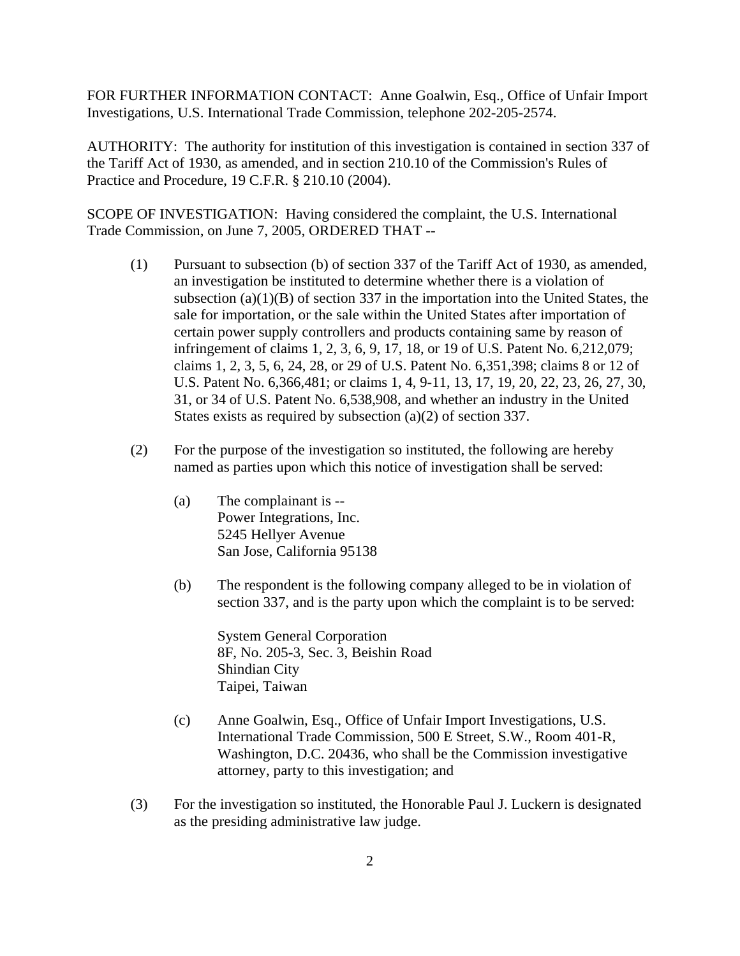FOR FURTHER INFORMATION CONTACT: Anne Goalwin, Esq., Office of Unfair Import Investigations, U.S. International Trade Commission, telephone 202-205-2574.

AUTHORITY: The authority for institution of this investigation is contained in section 337 of the Tariff Act of 1930, as amended, and in section 210.10 of the Commission's Rules of Practice and Procedure, 19 C.F.R. § 210.10 (2004).

SCOPE OF INVESTIGATION: Having considered the complaint, the U.S. International Trade Commission, on June 7, 2005, ORDERED THAT --

- (1) Pursuant to subsection (b) of section 337 of the Tariff Act of 1930, as amended, an investigation be instituted to determine whether there is a violation of subsection  $(a)(1)(B)$  of section 337 in the importation into the United States, the sale for importation, or the sale within the United States after importation of certain power supply controllers and products containing same by reason of infringement of claims 1, 2, 3, 6, 9, 17, 18, or 19 of U.S. Patent No. 6,212,079; claims 1, 2, 3, 5, 6, 24, 28, or 29 of U.S. Patent No. 6,351,398; claims 8 or 12 of U.S. Patent No. 6,366,481; or claims 1, 4, 9-11, 13, 17, 19, 20, 22, 23, 26, 27, 30, 31, or 34 of U.S. Patent No. 6,538,908, and whether an industry in the United States exists as required by subsection (a)(2) of section 337.
- (2) For the purpose of the investigation so instituted, the following are hereby named as parties upon which this notice of investigation shall be served:
	- (a) The complainant is -- Power Integrations, Inc. 5245 Hellyer Avenue San Jose, California 95138
	- (b) The respondent is the following company alleged to be in violation of section 337, and is the party upon which the complaint is to be served:

System General Corporation 8F, No. 205-3, Sec. 3, Beishin Road Shindian City Taipei, Taiwan

- (c) Anne Goalwin, Esq., Office of Unfair Import Investigations, U.S. International Trade Commission, 500 E Street, S.W., Room 401-R, Washington, D.C. 20436, who shall be the Commission investigative attorney, party to this investigation; and
- (3) For the investigation so instituted, the Honorable Paul J. Luckern is designated as the presiding administrative law judge.